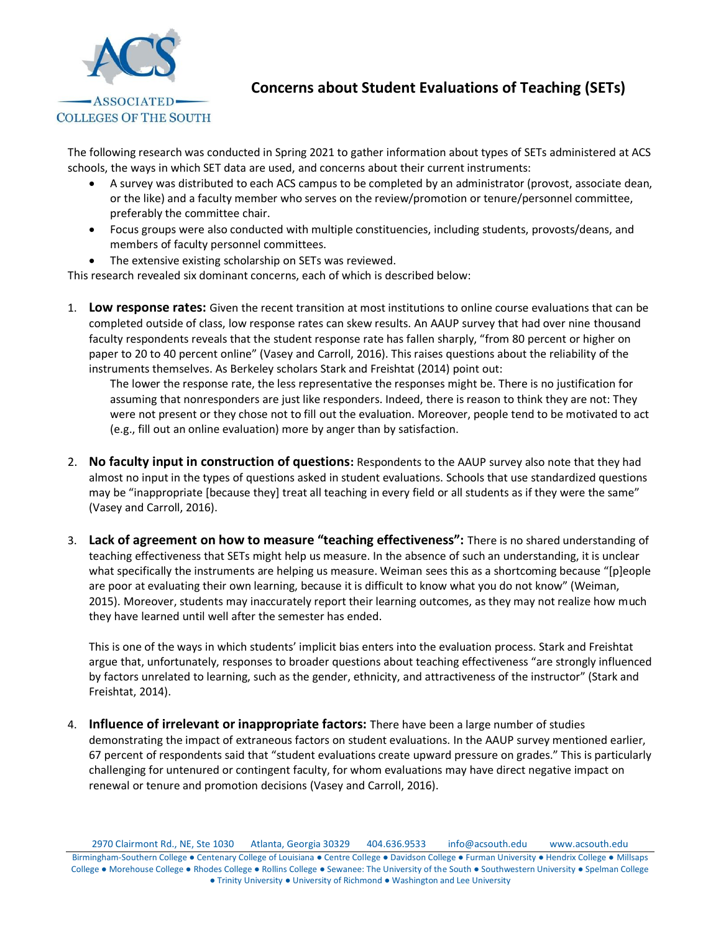

## **Concerns about Student Evaluations of Teaching (SETs)**

The following research was conducted in Spring 2021 to gather information about types of SETs administered at ACS schools, the ways in which SET data are used, and concerns about their current instruments:

- A survey was distributed to each ACS campus to be completed by an administrator (provost, associate dean, or the like) and a faculty member who serves on the review/promotion or tenure/personnel committee, preferably the committee chair.
- Focus groups were also conducted with multiple constituencies, including students, provosts/deans, and members of faculty personnel committees.
- The extensive existing scholarship on SETs was reviewed.

This research revealed six dominant concerns, each of which is described below:

1. **Low response rates:** Given the recent transition at most institutions to online course evaluations that can be completed outside of class, low response rates can skew results. An AAUP survey that had over nine thousand faculty respondents reveals that the student response rate has fallen sharply, "from 80 percent or higher on paper to 20 to 40 percent online" (Vasey and Carroll, 2016). This raises questions about the reliability of the instruments themselves. As Berkeley scholars Stark and Freishtat (2014) point out:

The lower the response rate, the less representative the responses might be. There is no justification for assuming that nonresponders are just like responders. Indeed, there is reason to think they are not: They were not present or they chose not to fill out the evaluation. Moreover, people tend to be motivated to act (e.g., fill out an online evaluation) more by anger than by satisfaction.

- 2. **No faculty input in construction of questions:** Respondents to the AAUP survey also note that they had almost no input in the types of questions asked in student evaluations. Schools that use standardized questions may be "inappropriate [because they] treat all teaching in every field or all students as if they were the same" (Vasey and Carroll, 2016).
- 3. **Lack of agreement on how to measure "teaching effectiveness":** There is no shared understanding of teaching effectiveness that SETs might help us measure. In the absence of such an understanding, it is unclear what specifically the instruments are helping us measure. Weiman sees this as a shortcoming because "[p]eople are poor at evaluating their own learning, because it is difficult to know what you do not know" (Weiman, 2015). Moreover, students may inaccurately report their learning outcomes, as they may not realize how much they have learned until well after the semester has ended.

This is one of the ways in which students' implicit bias enters into the evaluation process. Stark and Freishtat argue that, unfortunately, responses to broader questions about teaching effectiveness "are strongly influenced by factors unrelated to learning, such as the gender, ethnicity, and attractiveness of the instructor" (Stark and Freishtat, 2014).

4. **Influence of irrelevant or inappropriate factors:** There have been a large number of studies demonstrating the impact of extraneous factors on student evaluations. In the AAUP survey mentioned earlier, 67 percent of respondents said that "student evaluations create upward pressure on grades." This is particularly challenging for untenured or contingent faculty, for whom evaluations may have direct negative impact on renewal or tenure and promotion decisions (Vasey and Carroll, 2016).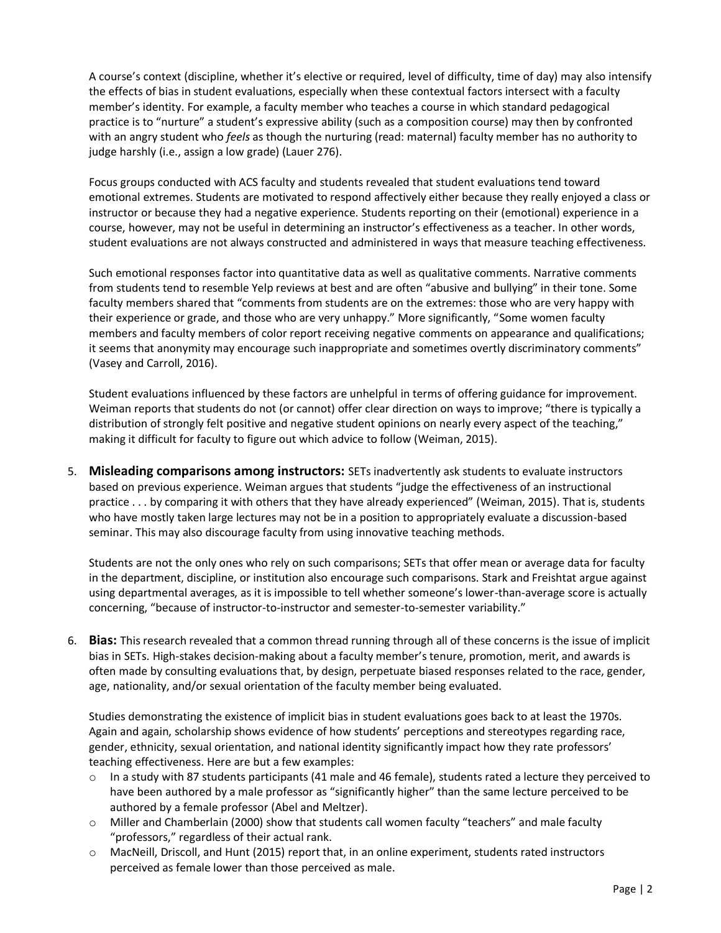A course's context (discipline, whether it's elective or required, level of difficulty, time of day) may also intensify the effects of bias in student evaluations, especially when these contextual factors intersect with a faculty member's identity. For example, a faculty member who teaches a course in which standard pedagogical practice is to "nurture" a student's expressive ability (such as a composition course) may then by confronted with an angry student who *feels* as though the nurturing (read: maternal) faculty member has no authority to judge harshly (i.e., assign a low grade) (Lauer 276).

Focus groups conducted with ACS faculty and students revealed that student evaluations tend toward emotional extremes. Students are motivated to respond affectively either because they really enjoyed a class or instructor or because they had a negative experience. Students reporting on their (emotional) experience in a course, however, may not be useful in determining an instructor's effectiveness as a teacher. In other words, student evaluations are not always constructed and administered in ways that measure teaching effectiveness.

Such emotional responses factor into quantitative data as well as qualitative comments. Narrative comments from students tend to resemble Yelp reviews at best and are often "abusive and bullying" in their tone. Some faculty members shared that "comments from students are on the extremes: those who are very happy with their experience or grade, and those who are very unhappy." More significantly, "Some women faculty members and faculty members of color report receiving negative comments on appearance and qualifications; it seems that anonymity may encourage such inappropriate and sometimes overtly discriminatory comments" (Vasey and Carroll, 2016).

Student evaluations influenced by these factors are unhelpful in terms of offering guidance for improvement. Weiman reports that students do not (or cannot) offer clear direction on ways to improve; "there is typically a distribution of strongly felt positive and negative student opinions on nearly every aspect of the teaching," making it difficult for faculty to figure out which advice to follow (Weiman, 2015).

5. **Misleading comparisons among instructors:** SETs inadvertently ask students to evaluate instructors based on previous experience. Weiman argues that students "judge the effectiveness of an instructional practice . . . by comparing it with others that they have already experienced" (Weiman, 2015). That is, students who have mostly taken large lectures may not be in a position to appropriately evaluate a discussion-based seminar. This may also discourage faculty from using innovative teaching methods.

Students are not the only ones who rely on such comparisons; SETs that offer mean or average data for faculty in the department, discipline, or institution also encourage such comparisons. Stark and Freishtat argue against using departmental averages, as it is impossible to tell whether someone's lower-than-average score is actually concerning, "because of instructor-to-instructor and semester-to-semester variability."

6. **Bias:** This research revealed that a common thread running through all of these concerns is the issue of implicit bias in SETs. High-stakes decision-making about a faculty member's tenure, promotion, merit, and awards is often made by consulting evaluations that, by design, perpetuate biased responses related to the race, gender, age, nationality, and/or sexual orientation of the faculty member being evaluated.

Studies demonstrating the existence of implicit bias in student evaluations goes back to at least the 1970s. Again and again, scholarship shows evidence of how students' perceptions and stereotypes regarding race, gender, ethnicity, sexual orientation, and national identity significantly impact how they rate professors' teaching effectiveness. Here are but a few examples:

- $\circ$  In a study with 87 students participants (41 male and 46 female), students rated a lecture they perceived to have been authored by a male professor as "significantly higher" than the same lecture perceived to be authored by a female professor (Abel and Meltzer).
- o Miller and Chamberlain (2000) show that students call women faculty "teachers" and male faculty "professors," regardless of their actual rank.
- o MacNeill, Driscoll, and Hunt (2015) report that, in an online experiment, students rated instructors perceived as female lower than those perceived as male.